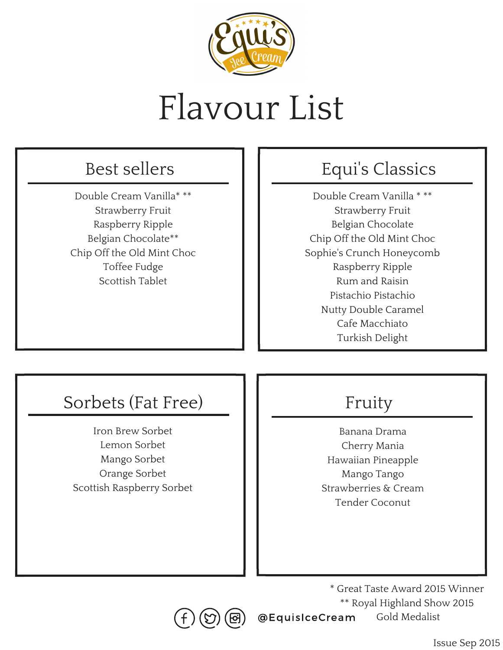

# Flavour List

#### Best sellers

Double Cream Vanilla\* \*\* Strawberry Fruit Raspberry Ripple Belgian Chocolate\*\* Chip Off the Old Mint Choc Toffee Fudge Scottish Tablet

### Equi' s Classics

Double Cream Vanilla \* \*\* Strawberry Fruit Belgian Chocolate Chip Off the Old Mint Choc Sophie's Crunch Honeycomb Raspberry Ripple Rum and Raisin Pistachio Pistachio Nutty Double Caramel Cafe Macchiato Turkish Delight

### Sorbets (Fat Free)

Iron Brew Sorbet Lemon Sorbet Mango Sorbet Orange Sorbet Scottish Raspberry Sorbet

### Fruity

Banana Drama Cherry Mania Hawaiian Pineapple Mango Tango Strawberries & Cream Tender Coconut

@EquisIceCream \* Great Taste Award 2015 Winner \*\* Royal Highland Show 2015 Gold Medalist